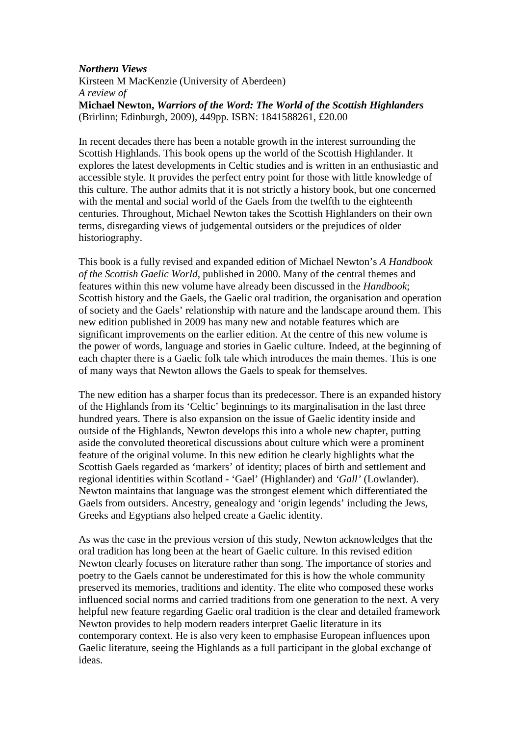## *Northern Views*  Kirsteen M MacKenzie (University of Aberdeen) *A review of*  **Michael Newton,** *Warriors of the Word: The World of the Scottish Highlanders* (Brirlinn; Edinburgh, 2009), 449pp. ISBN: 1841588261, £20.00

In recent decades there has been a notable growth in the interest surrounding the Scottish Highlands. This book opens up the world of the Scottish Highlander. It explores the latest developments in Celtic studies and is written in an enthusiastic and accessible style. It provides the perfect entry point for those with little knowledge of this culture. The author admits that it is not strictly a history book, but one concerned with the mental and social world of the Gaels from the twelfth to the eighteenth centuries. Throughout, Michael Newton takes the Scottish Highlanders on their own terms, disregarding views of judgemental outsiders or the prejudices of older historiography.

This book is a fully revised and expanded edition of Michael Newton's *A Handbook of the Scottish Gaelic World,* published in 2000. Many of the central themes and features within this new volume have already been discussed in the *Handbook*; Scottish history and the Gaels, the Gaelic oral tradition, the organisation and operation of society and the Gaels' relationship with nature and the landscape around them. This new edition published in 2009 has many new and notable features which are significant improvements on the earlier edition. At the centre of this new volume is the power of words, language and stories in Gaelic culture. Indeed, at the beginning of each chapter there is a Gaelic folk tale which introduces the main themes. This is one of many ways that Newton allows the Gaels to speak for themselves.

The new edition has a sharper focus than its predecessor. There is an expanded history of the Highlands from its 'Celtic' beginnings to its marginalisation in the last three hundred years. There is also expansion on the issue of Gaelic identity inside and outside of the Highlands, Newton develops this into a whole new chapter, putting aside the convoluted theoretical discussions about culture which were a prominent feature of the original volume. In this new edition he clearly highlights what the Scottish Gaels regarded as 'markers' of identity; places of birth and settlement and regional identities within Scotland - 'Gael' (Highlander) and *'Gall'* (Lowlander). Newton maintains that language was the strongest element which differentiated the Gaels from outsiders. Ancestry, genealogy and 'origin legends' including the Jews, Greeks and Egyptians also helped create a Gaelic identity.

As was the case in the previous version of this study, Newton acknowledges that the oral tradition has long been at the heart of Gaelic culture. In this revised edition Newton clearly focuses on literature rather than song. The importance of stories and poetry to the Gaels cannot be underestimated for this is how the whole community preserved its memories, traditions and identity. The elite who composed these works influenced social norms and carried traditions from one generation to the next. A very helpful new feature regarding Gaelic oral tradition is the clear and detailed framework Newton provides to help modern readers interpret Gaelic literature in its contemporary context. He is also very keen to emphasise European influences upon Gaelic literature, seeing the Highlands as a full participant in the global exchange of ideas.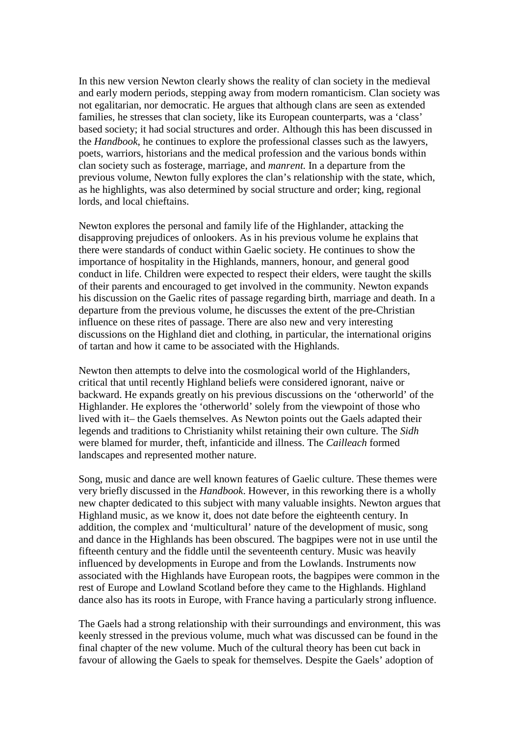In this new version Newton clearly shows the reality of clan society in the medieval and early modern periods, stepping away from modern romanticism. Clan society was not egalitarian, nor democratic. He argues that although clans are seen as extended families, he stresses that clan society, like its European counterparts, was a 'class' based society; it had social structures and order. Although this has been discussed in the *Handbook*, he continues to explore the professional classes such as the lawyers, poets, warriors, historians and the medical profession and the various bonds within clan society such as fosterage, marriage, and *manrent.* In a departure from the previous volume, Newton fully explores the clan's relationship with the state, which, as he highlights, was also determined by social structure and order; king, regional lords, and local chieftains.

Newton explores the personal and family life of the Highlander, attacking the disapproving prejudices of onlookers. As in his previous volume he explains that there were standards of conduct within Gaelic society. He continues to show the importance of hospitality in the Highlands, manners, honour, and general good conduct in life. Children were expected to respect their elders, were taught the skills of their parents and encouraged to get involved in the community. Newton expands his discussion on the Gaelic rites of passage regarding birth, marriage and death. In a departure from the previous volume, he discusses the extent of the pre-Christian influence on these rites of passage. There are also new and very interesting discussions on the Highland diet and clothing, in particular, the international origins of tartan and how it came to be associated with the Highlands.

Newton then attempts to delve into the cosmological world of the Highlanders, critical that until recently Highland beliefs were considered ignorant, naive or backward. He expands greatly on his previous discussions on the 'otherworld' of the Highlander. He explores the 'otherworld' solely from the viewpoint of those who lived with it– the Gaels themselves. As Newton points out the Gaels adapted their legends and traditions to Christianity whilst retaining their own culture. The *Sidh* were blamed for murder, theft, infanticide and illness. The *Cailleach* formed landscapes and represented mother nature.

Song, music and dance are well known features of Gaelic culture. These themes were very briefly discussed in the *Handbook*. However, in this reworking there is a wholly new chapter dedicated to this subject with many valuable insights. Newton argues that Highland music, as we know it, does not date before the eighteenth century. In addition, the complex and 'multicultural' nature of the development of music, song and dance in the Highlands has been obscured. The bagpipes were not in use until the fifteenth century and the fiddle until the seventeenth century. Music was heavily influenced by developments in Europe and from the Lowlands. Instruments now associated with the Highlands have European roots, the bagpipes were common in the rest of Europe and Lowland Scotland before they came to the Highlands. Highland dance also has its roots in Europe, with France having a particularly strong influence.

The Gaels had a strong relationship with their surroundings and environment, this was keenly stressed in the previous volume, much what was discussed can be found in the final chapter of the new volume. Much of the cultural theory has been cut back in favour of allowing the Gaels to speak for themselves. Despite the Gaels' adoption of